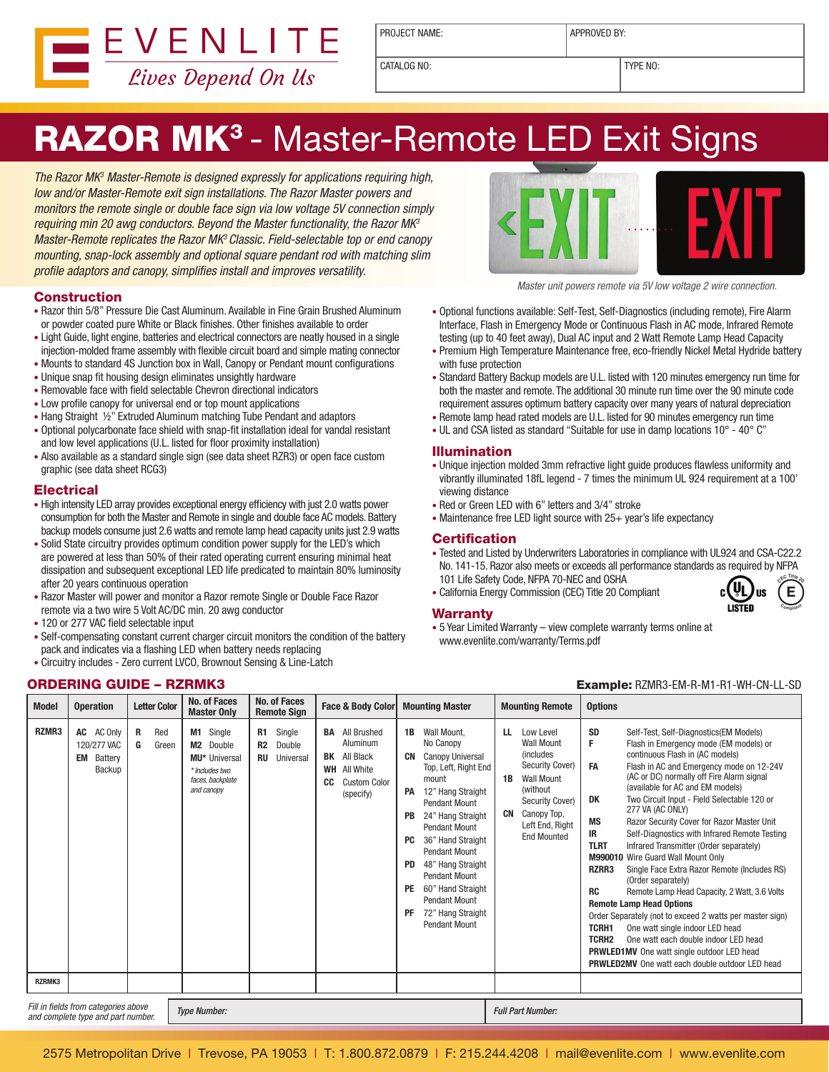

PROJECT NAME:  $\vert$  APPROVED BY:

CATALOG NO:  $\vert$  TYPE NO:

# RAZOR MK<sup>3</sup> - Master-Remote LED Exit Signs

The Razor MK<sup>3</sup> Master-Remote is designed expressly for applications requiring high, low and/or Master-Remote exit sign installations. The Razor Master powers and monitors the remote single or double face sign via low voltage 5V connection simply requiring min 20 awg conductors. Beyond the Master functionality, the Razor MK3 Master-Remote replicates the Razor MK<sup>3</sup> Classic. Field-selectable top or end canopy mounting, snap-lock assembly and optional square pendant rod with matching slim profile adaptors and canopy, simplifies install and improves versatility.

# **Construction**

- Razor thin 5/8" Pressure Die Cast Aluminum. Available in Fine Grain Brushed Aluminum or powder coated pure White or Black finishes. Other finishes available to order
- Light Guide, light engine, batteries and electrical connectors are neatly housed in a single injection-molded frame assembly with flexible circuit board and simple mating connector
- Mounts to standard 4S Junction box in Wall, Canopy or Pendant mount configurations
- Unique snap fit housing design eliminates unsightly hardware
- Removable face with field selectable Chevron directional indicators
- Low profile canopy for universal end or top mount applications
- Hang Straight ½" Extruded Aluminum matching Tube Pendant and adaptors
- Optional polycarbonate face shield with snap-fit installation ideal for vandal resistant and low level applications (U.L. listed for floor proximity installation)
- Also available as a standard single sign (see data sheet RZR3) or open face custom graphic (see data sheet RCG3)

## **Electrical**

- High intensity LED array provides exceptional energy efficiency with just 2.0 watts power consumption for both the Master and Remote in single and double face AC models. Battery backup models consume just 2.6 watts and remote lamp head capacity units just 2.9 watts
- Solid State circuitry provides optimum condition power supply for the LED's which are powered at less than 50% of their rated operating current ensuring minimal heat dissipation and subsequent exceptional LED life predicated to maintain 80% luminosity after 20 years continuous operation
- Razor Master will power and monitor a Razor remote Single or Double Face Razor remote via a two wire 5 Volt AC/DC min. 20 awg conductor
- 120 or 277 VAC field selectable input
- Self-compensating constant current charger circuit monitors the condition of the battery pack and indicates via a flashing LED when battery needs replacing
- Circuitry includes Zero current LVCO, Brownout Sensing & Line-Latch



Master unit powers remote via 5V low voltage 2 wire connection.

- Optional functions available: Self-Test, Self-Diagnostics (including remote), Fire Alarm Interface, Flash in Emergency Mode or Continuous Flash in AC mode, Infrared Remote testing (up to 40 feet away), Dual AC input and 2 Watt Remote Lamp Head Capacity
- Premium High Temperature Maintenance free, eco-friendly Nickel Metal Hydride battery with fuse protection
- Standard Battery Backup models are U.L. listed with 120 minutes emergency run time for both the master and remote. The additional 30 minute run time over the 90 minute code requirement assures optimum battery capacity over many years of natural depreciation
- Remote lamp head rated models are U.L. listed for 90 minutes emergency run time
- UL and CSA listed as standard "Suitable for use in damp locations 10° 40° C"

## Illumination

- Unique injection molded 3mm refractive light guide produces flawless uniformity and vibrantly illuminated 18fL legend - 7 times the minimum UL 924 requirement at a 100' viewing distance
- Red or Green LED with 6" letters and 3/4" stroke
- Maintenance free LED light source with 25+ year's life expectancy

#### **Certification**

- Tested and Listed by Underwriters Laboratories in compliance with UL924 and CSA-C22.2 No. 141-15. Razor also meets or exceeds all performance standards as required by NFPA 101 Life Safety Code, NFPA 70-NEC and OSHA **<sup>C</sup>E<sup>C</sup> <sup>T</sup>itl<sup>e</sup> <sup>2</sup><sup>0</sup>**  $c(U_L)$ us
- California Energy Commission (CEC) Title 20 Compliant

# **Warranty**

**E**

**<sup>C</sup>omplian<sup>t</sup>**

• 5 Year Limited Warranty – view complete warranty terms online at www.evenlite.com/warranty/Terms.pdf

# **ORDERING GUIDE – RZRMK3** Example: RZMR3-EM-R-M1-R1-WH-CN-LL-SD

| <b>Model</b>    | <b>Operation</b>                                     | <b>Letter Color</b>    | <b>No. of Faces</b><br><b>Master Only</b>                                                                  | <b>No. of Faces</b><br><b>Remote Sign</b>                         | <b>Face &amp; Body Color</b>                                                                                              | <b>Mounting Master</b>                                                                                                                                                                                                                                                                                                                                                                                              | <b>Mounting Remote</b>                                                                                                                                                                                | <b>Options</b>                                                                                                                                                                                                                                                                                                                                                                                                                                                                                                                                                                                                                                                                                                                                                                                                                                                                                                                                                                                                                                         |  |
|-----------------|------------------------------------------------------|------------------------|------------------------------------------------------------------------------------------------------------|-------------------------------------------------------------------|---------------------------------------------------------------------------------------------------------------------------|---------------------------------------------------------------------------------------------------------------------------------------------------------------------------------------------------------------------------------------------------------------------------------------------------------------------------------------------------------------------------------------------------------------------|-------------------------------------------------------------------------------------------------------------------------------------------------------------------------------------------------------|--------------------------------------------------------------------------------------------------------------------------------------------------------------------------------------------------------------------------------------------------------------------------------------------------------------------------------------------------------------------------------------------------------------------------------------------------------------------------------------------------------------------------------------------------------------------------------------------------------------------------------------------------------------------------------------------------------------------------------------------------------------------------------------------------------------------------------------------------------------------------------------------------------------------------------------------------------------------------------------------------------------------------------------------------------|--|
| RZMR3<br>RZRMK3 | AC AC Only<br>120/277 VAC<br>Battery<br>EM<br>Backup | Red<br>R<br>G<br>Green | Single<br>M1<br>M <sub>2</sub> Double<br>MU* Universal<br>* Includes two<br>faces, backplate<br>and canopy | Single<br><b>R1</b><br>Double<br><b>R2</b><br><b>RU</b> Universal | <b>BA</b> All Brushed<br>Aluminum<br><b>BK</b> All Black<br><b>WH</b> All White<br><b>Custom Color</b><br>CC<br>(specify) | Wall Mount.<br>1 B<br>No Canopy<br><b>Canopy Universal</b><br>CN<br>Top, Left, Right End<br>mount<br>12" Hang Straight<br>PA<br>Pendant Mount<br>24" Hang Straight<br><b>PB</b><br><b>Pendant Mount</b><br>36" Hand Straight<br>PC<br>Pendant Mount<br>48" Hang Straight<br><b>PD</b><br><b>Pendant Mount</b><br>60" Hand Straight<br><b>PE</b><br>Pendant Mount<br>72" Hang Straight<br>PF<br><b>Pendant Mount</b> | ш.<br>Low Level<br><b>Wall Mount</b><br><i>(includes)</i><br>Security Cover)<br><b>Wall Mount</b><br>1B<br>(without)<br>Security Cover)<br>CN<br>Canopy Top,<br>Left End, Right<br><b>End Mounted</b> | <b>SD</b><br>Self-Test, Self-Diagnostics (EM Models)<br>F.<br>Flash in Emergency mode (EM models) or<br>continuous Flash in (AC models)<br>Flash in AC and Emergency mode on 12-24V<br><b>FA</b><br>(AC or DC) normally off Fire Alarm signal<br>(available for AC and EM models)<br>Two Circuit Input - Field Selectable 120 or<br>DK<br>277 VA (AC ONLY)<br><b>MS</b><br>Razor Security Cover for Razor Master Unit<br>Self-Diagnostics with Infrared Remote Testing<br>IR<br>Infrared Transmitter (Order separately)<br><b>TLRT</b><br><b>M990010</b> Wire Guard Wall Mount Only<br>RZRR3<br>Single Face Extra Razor Remote (Includes RS)<br>(Order separately)<br><b>RC</b><br>Remote Lamp Head Capacity, 2 Watt, 3.6 Volts<br><b>Remote Lamp Head Options</b><br>Order Separately (not to exceed 2 watts per master sign)<br>TCRH1<br>One watt single indoor LED head<br>TCRH <sub>2</sub><br>One watt each double indoor LED head<br><b>PRWLED1MV</b> One watt single outdoor LED head<br><b>PRWLED2MV</b> One watt each double outdoor LED head |  |
|                 | Fill in fielde from estegarios shous                 |                        |                                                                                                            |                                                                   |                                                                                                                           |                                                                                                                                                                                                                                                                                                                                                                                                                     |                                                                                                                                                                                                       |                                                                                                                                                                                                                                                                                                                                                                                                                                                                                                                                                                                                                                                                                                                                                                                                                                                                                                                                                                                                                                                        |  |

Fill in fields from categories above rui in lielus ioni categories above **The Number:** The Number: Full Part Number: Full Part Number: Full Part Number: Full Part Number: Full Part Number: Full Part Number: Full Part Number: Full Part Number: Full Part Number